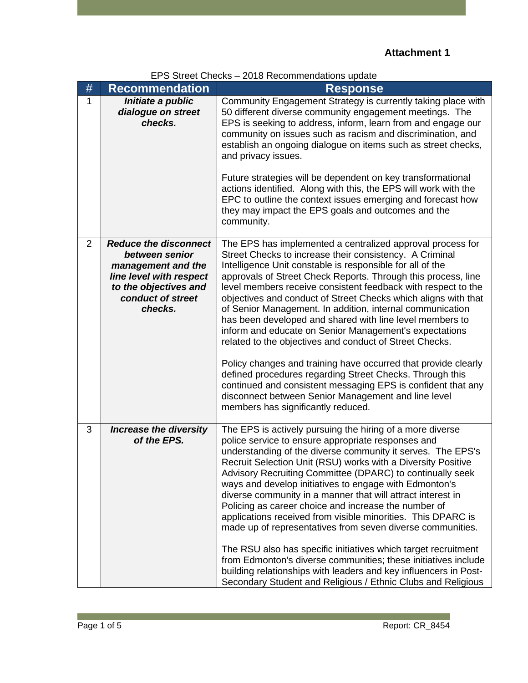| EPS Street Checks - 2018 Recommendations update |  |
|-------------------------------------------------|--|
|-------------------------------------------------|--|

| #              | <b>Recommendation</b>                                                                                                                                    | <b>Response</b>                                                                                                                                                                                                                                                                                                                                                                                                                                                                                                                                                                                                                                                                                                                                                                                                                                                                                                                 |
|----------------|----------------------------------------------------------------------------------------------------------------------------------------------------------|---------------------------------------------------------------------------------------------------------------------------------------------------------------------------------------------------------------------------------------------------------------------------------------------------------------------------------------------------------------------------------------------------------------------------------------------------------------------------------------------------------------------------------------------------------------------------------------------------------------------------------------------------------------------------------------------------------------------------------------------------------------------------------------------------------------------------------------------------------------------------------------------------------------------------------|
| 1              | Initiate a public<br>dialogue on street<br>checks.                                                                                                       | Community Engagement Strategy is currently taking place with<br>50 different diverse community engagement meetings. The<br>EPS is seeking to address, inform, learn from and engage our<br>community on issues such as racism and discrimination, and<br>establish an ongoing dialogue on items such as street checks,<br>and privacy issues.<br>Future strategies will be dependent on key transformational<br>actions identified. Along with this, the EPS will work with the<br>EPC to outline the context issues emerging and forecast how<br>they may impact the EPS goals and outcomes and the<br>community.                                                                                                                                                                                                                                                                                                              |
| $\overline{2}$ | <b>Reduce the disconnect</b><br>between senior<br>management and the<br>line level with respect<br>to the objectives and<br>conduct of street<br>checks. | The EPS has implemented a centralized approval process for<br>Street Checks to increase their consistency. A Criminal<br>Intelligence Unit constable is responsible for all of the<br>approvals of Street Check Reports. Through this process, line<br>level members receive consistent feedback with respect to the<br>objectives and conduct of Street Checks which aligns with that<br>of Senior Management. In addition, internal communication<br>has been developed and shared with line level members to<br>inform and educate on Senior Management's expectations<br>related to the objectives and conduct of Street Checks.<br>Policy changes and training have occurred that provide clearly<br>defined procedures regarding Street Checks. Through this<br>continued and consistent messaging EPS is confident that any<br>disconnect between Senior Management and line level<br>members has significantly reduced. |
| 3              | <b>Increase the diversity</b><br>of the EPS.                                                                                                             | The EPS is actively pursuing the hiring of a more diverse<br>police service to ensure appropriate responses and<br>understanding of the diverse community it serves. The EPS's<br>Recruit Selection Unit (RSU) works with a Diversity Positive<br>Advisory Recruiting Committee (DPARC) to continually seek<br>ways and develop initiatives to engage with Edmonton's<br>diverse community in a manner that will attract interest in<br>Policing as career choice and increase the number of<br>applications received from visible minorities. This DPARC is<br>made up of representatives from seven diverse communities.<br>The RSU also has specific initiatives which target recruitment<br>from Edmonton's diverse communities; these initiatives include<br>building relationships with leaders and key influencers in Post-<br>Secondary Student and Religious / Ethnic Clubs and Religious                              |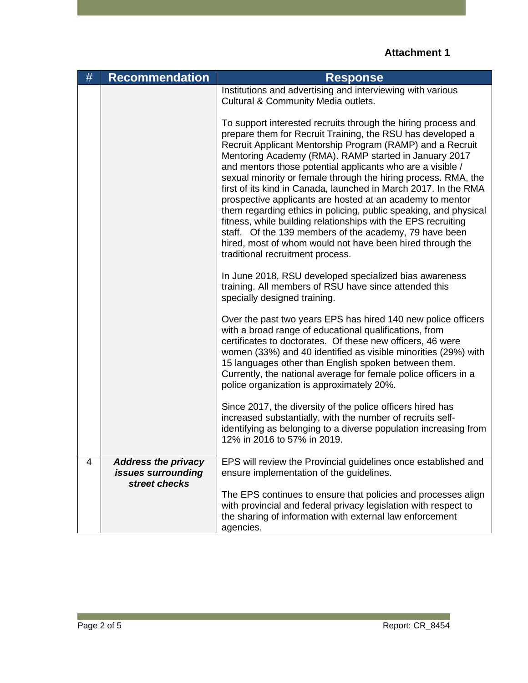| # | <b>Recommendation</b>                                             | <b>Response</b>                                                                                                                                                                                                                                                                                                                                                                                                                                                                                                                                                                                                                                                                                                                                                                                                   |
|---|-------------------------------------------------------------------|-------------------------------------------------------------------------------------------------------------------------------------------------------------------------------------------------------------------------------------------------------------------------------------------------------------------------------------------------------------------------------------------------------------------------------------------------------------------------------------------------------------------------------------------------------------------------------------------------------------------------------------------------------------------------------------------------------------------------------------------------------------------------------------------------------------------|
|   |                                                                   | Institutions and advertising and interviewing with various<br>Cultural & Community Media outlets.                                                                                                                                                                                                                                                                                                                                                                                                                                                                                                                                                                                                                                                                                                                 |
|   |                                                                   | To support interested recruits through the hiring process and<br>prepare them for Recruit Training, the RSU has developed a<br>Recruit Applicant Mentorship Program (RAMP) and a Recruit<br>Mentoring Academy (RMA). RAMP started in January 2017<br>and mentors those potential applicants who are a visible /<br>sexual minority or female through the hiring process. RMA, the<br>first of its kind in Canada, launched in March 2017. In the RMA<br>prospective applicants are hosted at an academy to mentor<br>them regarding ethics in policing, public speaking, and physical<br>fitness, while building relationships with the EPS recruiting<br>staff. Of the 139 members of the academy, 79 have been<br>hired, most of whom would not have been hired through the<br>traditional recruitment process. |
|   |                                                                   | In June 2018, RSU developed specialized bias awareness<br>training. All members of RSU have since attended this<br>specially designed training.                                                                                                                                                                                                                                                                                                                                                                                                                                                                                                                                                                                                                                                                   |
|   |                                                                   | Over the past two years EPS has hired 140 new police officers<br>with a broad range of educational qualifications, from<br>certificates to doctorates. Of these new officers, 46 were<br>women (33%) and 40 identified as visible minorities (29%) with<br>15 languages other than English spoken between them.<br>Currently, the national average for female police officers in a<br>police organization is approximately 20%.                                                                                                                                                                                                                                                                                                                                                                                   |
|   |                                                                   | Since 2017, the diversity of the police officers hired has<br>increased substantially, with the number of recruits self-<br>identifying as belonging to a diverse population increasing from<br>12% in 2016 to 57% in 2019.                                                                                                                                                                                                                                                                                                                                                                                                                                                                                                                                                                                       |
| 4 | <b>Address the privacy</b><br>issues surrounding<br>street checks | EPS will review the Provincial guidelines once established and<br>ensure implementation of the guidelines.                                                                                                                                                                                                                                                                                                                                                                                                                                                                                                                                                                                                                                                                                                        |
|   |                                                                   | The EPS continues to ensure that policies and processes align<br>with provincial and federal privacy legislation with respect to<br>the sharing of information with external law enforcement<br>agencies.                                                                                                                                                                                                                                                                                                                                                                                                                                                                                                                                                                                                         |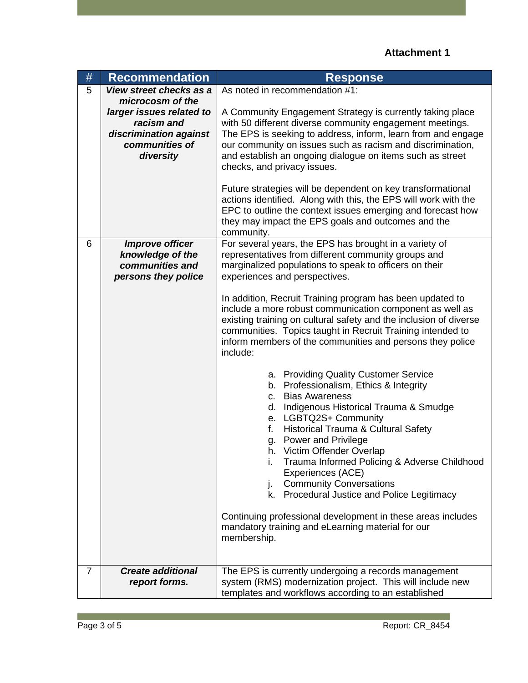## **Attachment 1**

| $\#$           | <b>Recommendation</b>                                                                                               | <b>Response</b>                                                                                                                                                                                                                                                                                                                                                                                                                                                                                                                                                                                                                                                                                                                                                                                                                                                                                                                                                                                                                                                                                                                      |
|----------------|---------------------------------------------------------------------------------------------------------------------|--------------------------------------------------------------------------------------------------------------------------------------------------------------------------------------------------------------------------------------------------------------------------------------------------------------------------------------------------------------------------------------------------------------------------------------------------------------------------------------------------------------------------------------------------------------------------------------------------------------------------------------------------------------------------------------------------------------------------------------------------------------------------------------------------------------------------------------------------------------------------------------------------------------------------------------------------------------------------------------------------------------------------------------------------------------------------------------------------------------------------------------|
| 5              | View street checks as a                                                                                             | As noted in recommendation #1:                                                                                                                                                                                                                                                                                                                                                                                                                                                                                                                                                                                                                                                                                                                                                                                                                                                                                                                                                                                                                                                                                                       |
|                | microcosm of the<br>larger issues related to<br>racism and<br>discrimination against<br>communities of<br>diversity | A Community Engagement Strategy is currently taking place<br>with 50 different diverse community engagement meetings.<br>The EPS is seeking to address, inform, learn from and engage<br>our community on issues such as racism and discrimination,<br>and establish an ongoing dialogue on items such as street<br>checks, and privacy issues.<br>Future strategies will be dependent on key transformational<br>actions identified. Along with this, the EPS will work with the<br>EPC to outline the context issues emerging and forecast how<br>they may impact the EPS goals and outcomes and the                                                                                                                                                                                                                                                                                                                                                                                                                                                                                                                               |
|                |                                                                                                                     | community.                                                                                                                                                                                                                                                                                                                                                                                                                                                                                                                                                                                                                                                                                                                                                                                                                                                                                                                                                                                                                                                                                                                           |
| 6              | <b>Improve officer</b><br>knowledge of the<br>communities and<br>persons they police                                | For several years, the EPS has brought in a variety of<br>representatives from different community groups and<br>marginalized populations to speak to officers on their<br>experiences and perspectives.<br>In addition, Recruit Training program has been updated to<br>include a more robust communication component as well as<br>existing training on cultural safety and the inclusion of diverse<br>communities. Topics taught in Recruit Training intended to<br>inform members of the communities and persons they police<br>include:<br>a. Providing Quality Customer Service<br>b. Professionalism, Ethics & Integrity<br>c. Bias Awareness<br>d. Indigenous Historical Trauma & Smudge<br>e. LGBTQ2S+ Community<br>f.<br>Historical Trauma & Cultural Safety<br>g. Power and Privilege<br>h. Victim Offender Overlap<br>Trauma Informed Policing & Adverse Childhood<br>i.<br>Experiences (ACE)<br><b>Community Conversations</b><br>j.<br>k. Procedural Justice and Police Legitimacy<br>Continuing professional development in these areas includes<br>mandatory training and eLearning material for our<br>membership. |
| $\overline{7}$ | <b>Create additional</b>                                                                                            | The EPS is currently undergoing a records management                                                                                                                                                                                                                                                                                                                                                                                                                                                                                                                                                                                                                                                                                                                                                                                                                                                                                                                                                                                                                                                                                 |
|                | report forms.                                                                                                       | system (RMS) modernization project. This will include new<br>templates and workflows according to an established                                                                                                                                                                                                                                                                                                                                                                                                                                                                                                                                                                                                                                                                                                                                                                                                                                                                                                                                                                                                                     |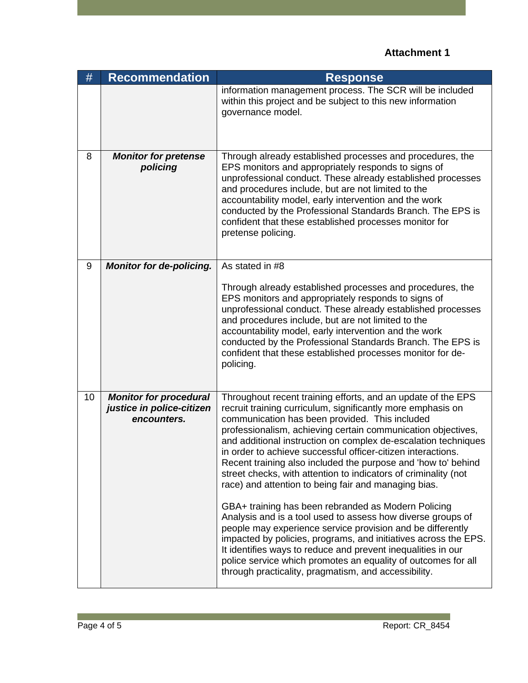## **Attachment 1**

| #  | Recommendation                                                            | <b>Response</b>                                                                                                                                                                                                                                                                                                                                                                                                                                                                                                                                                                                                                                                                                                                                                                                                                                                                                                                                                                                                             |
|----|---------------------------------------------------------------------------|-----------------------------------------------------------------------------------------------------------------------------------------------------------------------------------------------------------------------------------------------------------------------------------------------------------------------------------------------------------------------------------------------------------------------------------------------------------------------------------------------------------------------------------------------------------------------------------------------------------------------------------------------------------------------------------------------------------------------------------------------------------------------------------------------------------------------------------------------------------------------------------------------------------------------------------------------------------------------------------------------------------------------------|
|    |                                                                           | information management process. The SCR will be included<br>within this project and be subject to this new information<br>governance model.                                                                                                                                                                                                                                                                                                                                                                                                                                                                                                                                                                                                                                                                                                                                                                                                                                                                                 |
| 8  | <b>Monitor for pretense</b><br>policing                                   | Through already established processes and procedures, the<br>EPS monitors and appropriately responds to signs of<br>unprofessional conduct. These already established processes<br>and procedures include, but are not limited to the<br>accountability model, early intervention and the work<br>conducted by the Professional Standards Branch. The EPS is<br>confident that these established processes monitor for<br>pretense policing.                                                                                                                                                                                                                                                                                                                                                                                                                                                                                                                                                                                |
| 9  | <b>Monitor for de-policing.</b>                                           | As stated in #8<br>Through already established processes and procedures, the<br>EPS monitors and appropriately responds to signs of<br>unprofessional conduct. These already established processes<br>and procedures include, but are not limited to the<br>accountability model, early intervention and the work<br>conducted by the Professional Standards Branch. The EPS is<br>confident that these established processes monitor for de-<br>policing.                                                                                                                                                                                                                                                                                                                                                                                                                                                                                                                                                                  |
| 10 | <b>Monitor for procedural</b><br>justice in police-citizen<br>encounters. | Throughout recent training efforts, and an update of the EPS<br>recruit training curriculum, significantly more emphasis on<br>communication has been provided. This included<br>professionalism, achieving certain communication objectives,<br>and additional instruction on complex de-escalation techniques<br>in order to achieve successful officer-citizen interactions.<br>Recent training also included the purpose and 'how to' behind<br>street checks, with attention to indicators of criminality (not<br>race) and attention to being fair and managing bias.<br>GBA+ training has been rebranded as Modern Policing<br>Analysis and is a tool used to assess how diverse groups of<br>people may experience service provision and be differently<br>impacted by policies, programs, and initiatives across the EPS.<br>It identifies ways to reduce and prevent inequalities in our<br>police service which promotes an equality of outcomes for all<br>through practicality, pragmatism, and accessibility. |